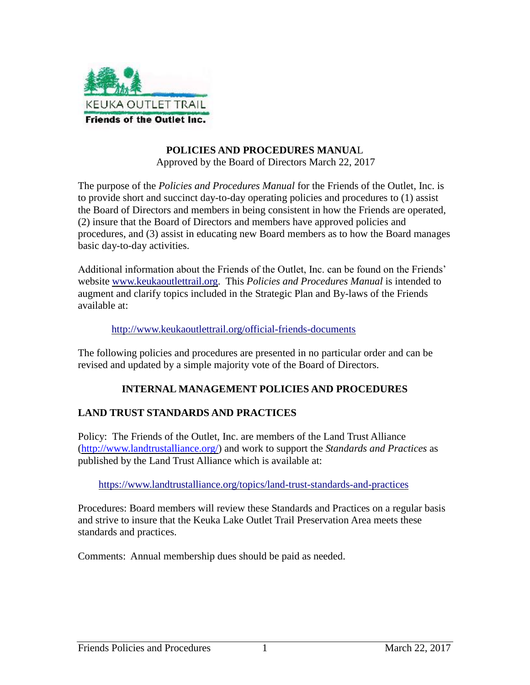

#### **POLICIES AND PROCEDURES MANUA**L Approved by the Board of Directors March 22, 2017

The purpose of the *Policies and Procedures Manual* for the Friends of the Outlet, Inc. is to provide short and succinct day-to-day operating policies and procedures to (1) assist the Board of Directors and members in being consistent in how the Friends are operated, (2) insure that the Board of Directors and members have approved policies and procedures, and (3) assist in educating new Board members as to how the Board manages basic day-to-day activities.

Additional information about the Friends of the Outlet, Inc. can be found on the Friends' website [www.keukaoutlettrail.org.](http://www.keukaoutlettrail.org/) This *Policies and Procedures Manual* is intended to augment and clarify topics included in the Strategic Plan and By-laws of the Friends available at:

#### <http://www.keukaoutlettrail.org/official-friends-documents>

The following policies and procedures are presented in no particular order and can be revised and updated by a simple majority vote of the Board of Directors.

#### **INTERNAL MANAGEMENT POLICIES AND PROCEDURES**

### **LAND TRUST STANDARDS AND PRACTICES**

Policy: The Friends of the Outlet, Inc. are members of the Land Trust Alliance [\(http://www.landtrustalliance.org/\)](http://www.landtrustalliance.org/) and work to support the *Standards and Practices* as published by the Land Trust Alliance which is available at:

#### <https://www.landtrustalliance.org/topics/land-trust-standards-and-practices>

Procedures: Board members will review these Standards and Practices on a regular basis and strive to insure that the Keuka Lake Outlet Trail Preservation Area meets these standards and practices.

Comments: Annual membership dues should be paid as needed.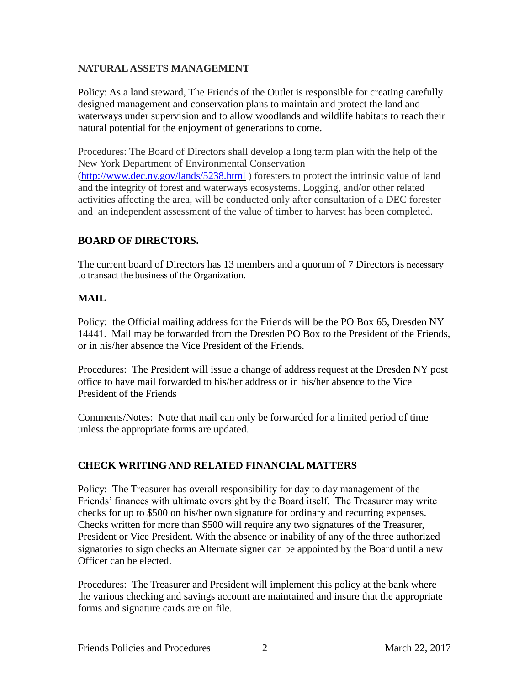## **NATURAL ASSETS MANAGEMENT**

Policy: As a land steward, The Friends of the Outlet is responsible for creating carefully designed management and conservation plans to maintain and protect the land and waterways under supervision and to allow woodlands and wildlife habitats to reach their natural potential for the enjoyment of generations to come.

Procedures: The Board of Directors shall develop a long term plan with the help of the New York Department of Environmental Conservation [\(http://www.dec.ny.gov/lands/5238.html](http://www.dec.ny.gov/lands/5238.html) ) foresters to protect the intrinsic value of land and the integrity of forest and waterways ecosystems. Logging, and/or other related activities affecting the area, will be conducted only after consultation of a DEC forester and an independent assessment of the value of timber to harvest has been completed.

### **BOARD OF DIRECTORS.**

The current board of Directors has 13 members and a quorum of 7 Directors is necessary to transact the business of the Organization.

### **MAIL**

Policy: the Official mailing address for the Friends will be the PO Box 65, Dresden NY 14441. Mail may be forwarded from the Dresden PO Box to the President of the Friends, or in his/her absence the Vice President of the Friends.

Procedures: The President will issue a change of address request at the Dresden NY post office to have mail forwarded to his/her address or in his/her absence to the Vice President of the Friends

Comments/Notes: Note that mail can only be forwarded for a limited period of time unless the appropriate forms are updated.

## **CHECK WRITING AND RELATED FINANCIAL MATTERS**

Policy: The Treasurer has overall responsibility for day to day management of the Friends' finances with ultimate oversight by the Board itself. The Treasurer may write checks for up to \$500 on his/her own signature for ordinary and recurring expenses. Checks written for more than \$500 will require any two signatures of the Treasurer, President or Vice President. With the absence or inability of any of the three authorized signatories to sign checks an Alternate signer can be appointed by the Board until a new Officer can be elected.

Procedures: The Treasurer and President will implement this policy at the bank where the various checking and savings account are maintained and insure that the appropriate forms and signature cards are on file.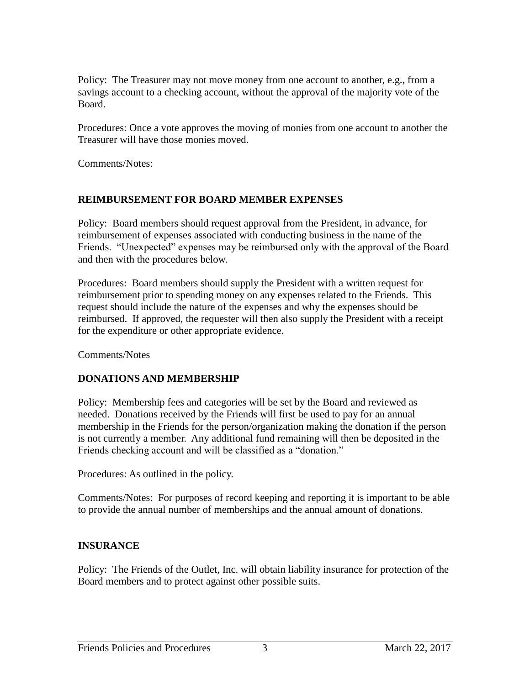Policy: The Treasurer may not move money from one account to another, e.g., from a savings account to a checking account, without the approval of the majority vote of the Board.

Procedures: Once a vote approves the moving of monies from one account to another the Treasurer will have those monies moved.

Comments/Notes:

#### **REIMBURSEMENT FOR BOARD MEMBER EXPENSES**

Policy: Board members should request approval from the President, in advance, for reimbursement of expenses associated with conducting business in the name of the Friends. "Unexpected" expenses may be reimbursed only with the approval of the Board and then with the procedures below.

Procedures: Board members should supply the President with a written request for reimbursement prior to spending money on any expenses related to the Friends. This request should include the nature of the expenses and why the expenses should be reimbursed. If approved, the requester will then also supply the President with a receipt for the expenditure or other appropriate evidence.

Comments/Notes

### **DONATIONS AND MEMBERSHIP**

Policy: Membership fees and categories will be set by the Board and reviewed as needed. Donations received by the Friends will first be used to pay for an annual membership in the Friends for the person/organization making the donation if the person is not currently a member. Any additional fund remaining will then be deposited in the Friends checking account and will be classified as a "donation."

Procedures: As outlined in the policy.

Comments/Notes: For purposes of record keeping and reporting it is important to be able to provide the annual number of memberships and the annual amount of donations.

#### **INSURANCE**

Policy: The Friends of the Outlet, Inc. will obtain liability insurance for protection of the Board members and to protect against other possible suits.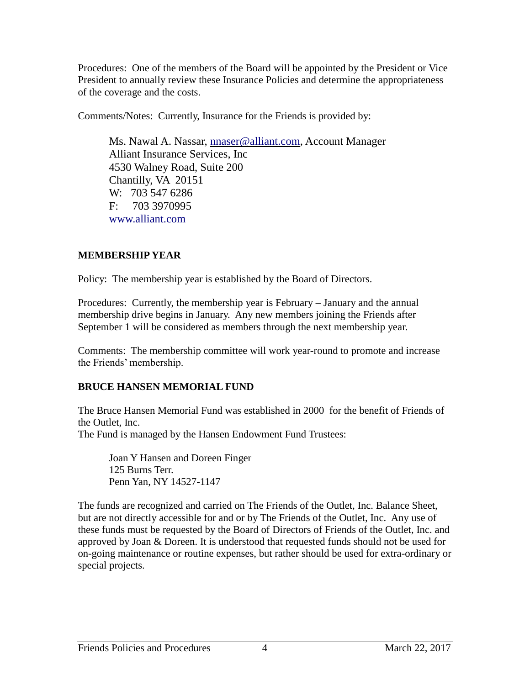Procedures: One of the members of the Board will be appointed by the President or Vice President to annually review these Insurance Policies and determine the appropriateness of the coverage and the costs.

Comments/Notes: Currently, Insurance for the Friends is provided by:

Ms. Nawal A. Nassar, [nnaser@alliant.com,](mailto:nnaser@alliant.com) Account Manager Alliant Insurance Services, Inc 4530 Walney Road, Suite 200 Chantilly, VA 20151 W: 703 547 6286 F: 703 3970995 [www.alliant.com](http://www.alliant.com/)

## **MEMBERSHIP YEAR**

Policy: The membership year is established by the Board of Directors.

Procedures: Currently, the membership year is February – January and the annual membership drive begins in January. Any new members joining the Friends after September 1 will be considered as members through the next membership year.

Comments: The membership committee will work year-round to promote and increase the Friends' membership.

## **BRUCE HANSEN MEMORIAL FUND**

The Bruce Hansen Memorial Fund was established in 2000 for the benefit of Friends of the Outlet, Inc.

The Fund is managed by the Hansen Endowment Fund Trustees:

Joan Y Hansen and Doreen Finger 125 Burns Terr. Penn Yan, NY 14527-1147

The funds are recognized and carried on The Friends of the Outlet, Inc. Balance Sheet, but are not directly accessible for and or by The Friends of the Outlet, Inc. Any use of these funds must be requested by the Board of Directors of Friends of the Outlet, Inc. and approved by Joan & Doreen. It is understood that requested funds should not be used for on-going maintenance or routine expenses, but rather should be used for extra-ordinary or special projects.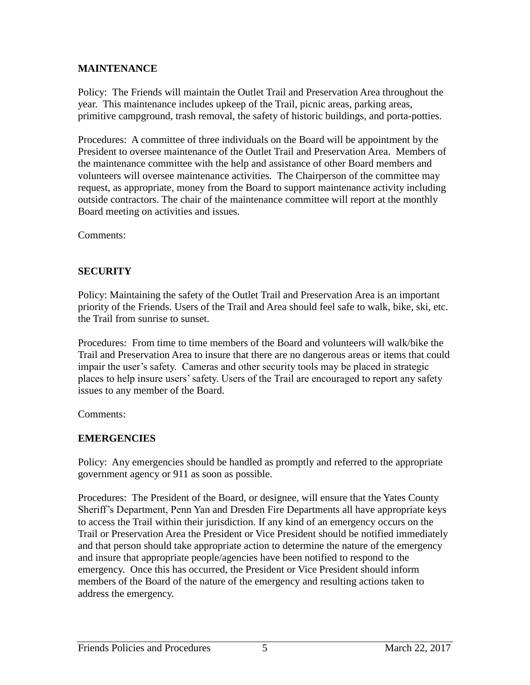### **MAINTENANCE**

Policy: The Friends will maintain the Outlet Trail and Preservation Area throughout the year. This maintenance includes upkeep of the Trail, picnic areas, parking areas, primitive campground, trash removal, the safety of historic buildings, and porta-potties.

Procedures: A committee of three individuals on the Board will be appointment by the President to oversee maintenance of the Outlet Trail and Preservation Area. Members of the maintenance committee with the help and assistance of other Board members and volunteers will oversee maintenance activities. The Chairperson of the committee may request, as appropriate, money from the Board to support maintenance activity including outside contractors. The chair of the maintenance committee will report at the monthly Board meeting on activities and issues.

Comments:

## **SECURITY**

Policy: Maintaining the safety of the Outlet Trail and Preservation Area is an important priority of the Friends. Users of the Trail and Area should feel safe to walk, bike, ski, etc. the Trail from sunrise to sunset.

Procedures: From time to time members of the Board and volunteers will walk/bike the Trail and Preservation Area to insure that there are no dangerous areas or items that could impair the user's safety. Cameras and other security tools may be placed in strategic places to help insure users' safety. Users of the Trail are encouraged to report any safety issues to any member of the Board.

Comments:

## **EMERGENCIES**

Policy: Any emergencies should be handled as promptly and referred to the appropriate government agency or 911 as soon as possible.

Procedures: The President of the Board, or designee, will ensure that the Yates County Sheriff's Department, Penn Yan and Dresden Fire Departments all have appropriate keys to access the Trail within their jurisdiction. If any kind of an emergency occurs on the Trail or Preservation Area the President or Vice President should be notified immediately and that person should take appropriate action to determine the nature of the emergency and insure that appropriate people/agencies have been notified to respond to the emergency. Once this has occurred, the President or Vice President should inform members of the Board of the nature of the emergency and resulting actions taken to address the emergency.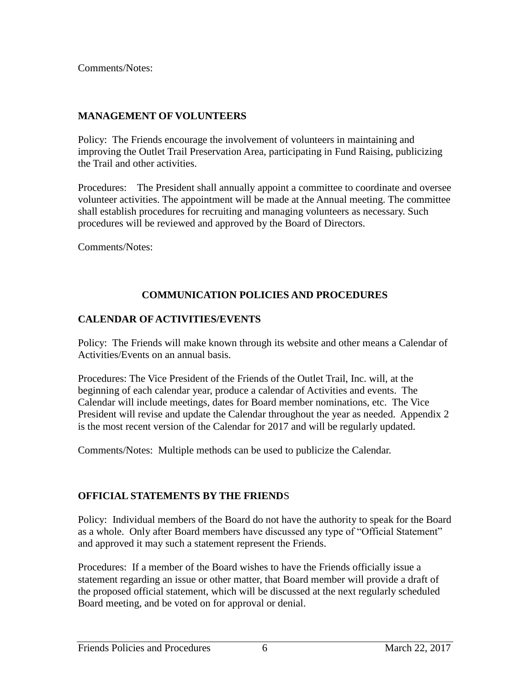Comments/Notes:

### **MANAGEMENT OF VOLUNTEERS**

Policy: The Friends encourage the involvement of volunteers in maintaining and improving the Outlet Trail Preservation Area, participating in Fund Raising, publicizing the Trail and other activities.

Procedures: The President shall annually appoint a committee to coordinate and oversee volunteer activities. The appointment will be made at the Annual meeting. The committee shall establish procedures for recruiting and managing volunteers as necessary. Such procedures will be reviewed and approved by the Board of Directors.

Comments/Notes:

## **COMMUNICATION POLICIES AND PROCEDURES**

### **CALENDAR OF ACTIVITIES/EVENTS**

Policy: The Friends will make known through its website and other means a Calendar of Activities/Events on an annual basis.

Procedures: The Vice President of the Friends of the Outlet Trail, Inc. will, at the beginning of each calendar year, produce a calendar of Activities and events. The Calendar will include meetings, dates for Board member nominations, etc. The Vice President will revise and update the Calendar throughout the year as needed. Appendix 2 is the most recent version of the Calendar for 2017 and will be regularly updated.

Comments/Notes: Multiple methods can be used to publicize the Calendar.

### **OFFICIAL STATEMENTS BY THE FRIEND**S

Policy: Individual members of the Board do not have the authority to speak for the Board as a whole. Only after Board members have discussed any type of "Official Statement" and approved it may such a statement represent the Friends.

Procedures: If a member of the Board wishes to have the Friends officially issue a statement regarding an issue or other matter, that Board member will provide a draft of the proposed official statement, which will be discussed at the next regularly scheduled Board meeting, and be voted on for approval or denial.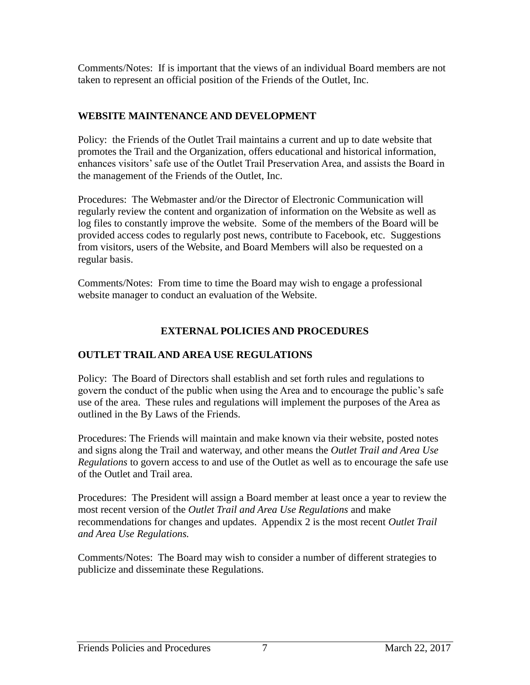Comments/Notes: If is important that the views of an individual Board members are not taken to represent an official position of the Friends of the Outlet, Inc.

## **WEBSITE MAINTENANCE AND DEVELOPMENT**

Policy: the Friends of the Outlet Trail maintains a current and up to date website that promotes the Trail and the Organization, offers educational and historical information, enhances visitors' safe use of the Outlet Trail Preservation Area, and assists the Board in the management of the Friends of the Outlet, Inc.

Procedures: The Webmaster and/or the Director of Electronic Communication will regularly review the content and organization of information on the Website as well as log files to constantly improve the website. Some of the members of the Board will be provided access codes to regularly post news, contribute to Facebook, etc. Suggestions from visitors, users of the Website, and Board Members will also be requested on a regular basis.

Comments/Notes: From time to time the Board may wish to engage a professional website manager to conduct an evaluation of the Website.

## **EXTERNAL POLICIES AND PROCEDURES**

## **OUTLET TRAIL AND AREA USE REGULATIONS**

Policy: The Board of Directors shall establish and set forth rules and regulations to govern the conduct of the public when using the Area and to encourage the public's safe use of the area. These rules and regulations will implement the purposes of the Area as outlined in the By Laws of the Friends.

Procedures: The Friends will maintain and make known via their website, posted notes and signs along the Trail and waterway, and other means the *Outlet Trail and Area Use Regulations* to govern access to and use of the Outlet as well as to encourage the safe use of the Outlet and Trail area.

Procedures: The President will assign a Board member at least once a year to review the most recent version of the *Outlet Trail and Area Use Regulations* and make recommendations for changes and updates. Appendix 2 is the most recent *Outlet Trail and Area Use Regulations.*

Comments/Notes: The Board may wish to consider a number of different strategies to publicize and disseminate these Regulations.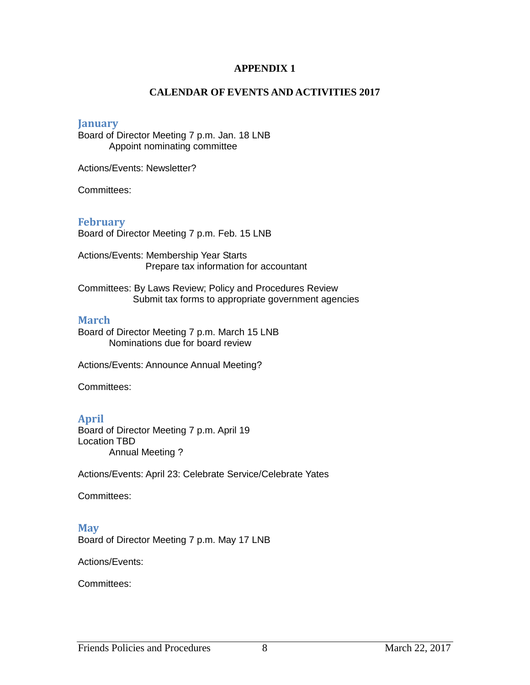#### **APPENDIX 1**

#### **CALENDAR OF EVENTS AND ACTIVITIES 2017**

#### **January**

Board of Director Meeting 7 p.m. Jan. 18 LNB Appoint nominating committee

Actions/Events: Newsletter?

Committees:

#### **February**

Board of Director Meeting 7 p.m. Feb. 15 LNB

Actions/Events: Membership Year Starts Prepare tax information for accountant

Committees: By Laws Review; Policy and Procedures Review Submit tax forms to appropriate government agencies

#### **March**

Board of Director Meeting 7 p.m. March 15 LNB Nominations due for board review

Actions/Events: Announce Annual Meeting?

Committees:

#### **April**

Board of Director Meeting 7 p.m. April 19 Location TBD Annual Meeting ?

Actions/Events: April 23: Celebrate Service/Celebrate Yates

Committees:

#### **May**

Board of Director Meeting 7 p.m. May 17 LNB

Actions/Events:

Committees: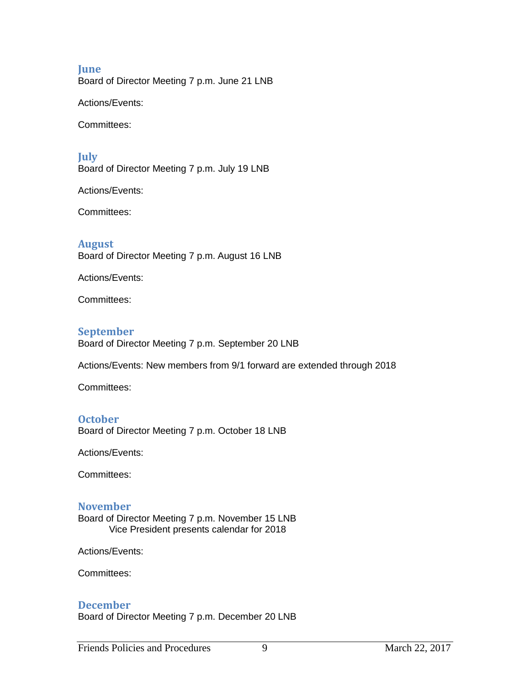#### **June**

Board of Director Meeting 7 p.m. June 21 LNB

Actions/Events:

Committees:

### **July**

Board of Director Meeting 7 p.m. July 19 LNB

Actions/Events:

Committees:

#### **August**

Board of Director Meeting 7 p.m. August 16 LNB

Actions/Events:

Committees:

#### **September**

Board of Director Meeting 7 p.m. September 20 LNB

Actions/Events: New members from 9/1 forward are extended through 2018

Committees:

#### **October**

Board of Director Meeting 7 p.m. October 18 LNB

Actions/Events:

Committees:

#### **November**

Board of Director Meeting 7 p.m. November 15 LNB Vice President presents calendar for 2018

Actions/Events:

Committees:

#### **December**

Board of Director Meeting 7 p.m. December 20 LNB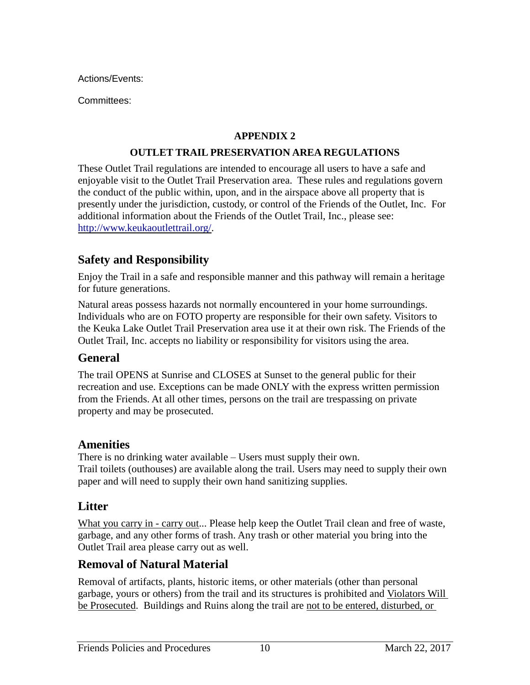Actions/Events:

Committees:

## **APPENDIX 2**

### **OUTLET TRAIL PRESERVATION AREA REGULATIONS**

These Outlet Trail regulations are intended to encourage all users to have a safe and enjoyable visit to the Outlet Trail Preservation area. These rules and regulations govern the conduct of the public within, upon, and in the airspace above all property that is presently under the jurisdiction, custody, or control of the Friends of the Outlet, Inc. For additional information about the Friends of the Outlet Trail, Inc., please see: [http://www.keukaoutlettrail.org/.](http://www.keukaoutlettrail.org/)

## **Safety and Responsibility**

Enjoy the Trail in a safe and responsible manner and this pathway will remain a heritage for future generations.

Natural areas possess hazards not normally encountered in your home surroundings. Individuals who are on FOTO property are responsible for their own safety. Visitors to the Keuka Lake Outlet Trail Preservation area use it at their own risk. The Friends of the Outlet Trail, Inc. accepts no liability or responsibility for visitors using the area.

## **General**

The trail OPENS at Sunrise and CLOSES at Sunset to the general public for their recreation and use. Exceptions can be made ONLY with the express written permission from the Friends. At all other times, persons on the trail are trespassing on private property and may be prosecuted.

## **Amenities**

There is no drinking water available – Users must supply their own. Trail toilets (outhouses) are available along the trail. Users may need to supply their own paper and will need to supply their own hand sanitizing supplies.

# **Litter**

What you carry in - carry out... Please help keep the Outlet Trail clean and free of waste, garbage, and any other forms of trash. Any trash or other material you bring into the Outlet Trail area please carry out as well.

# **Removal of Natural Material**

Removal of artifacts, plants, historic items, or other materials (other than personal garbage, yours or others) from the trail and its structures is prohibited and Violators Will be Prosecuted. Buildings and Ruins along the trail are not to be entered, disturbed, or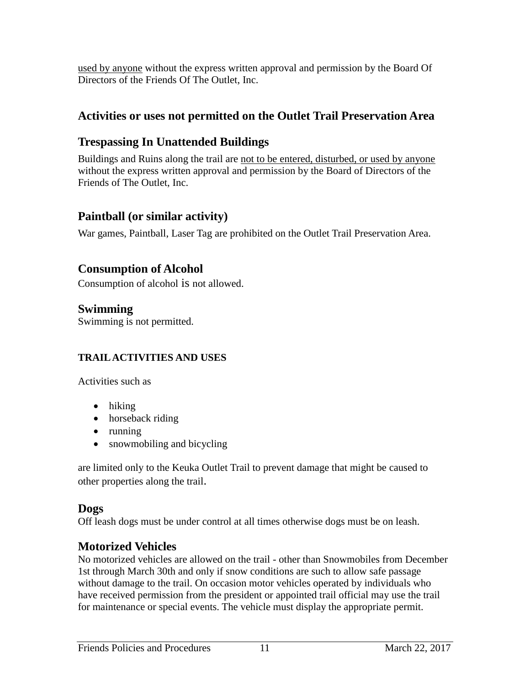used by anyone without the express written approval and permission by the Board Of Directors of the Friends Of The Outlet, Inc.

# **Activities or uses not permitted on the Outlet Trail Preservation Area**

# **Trespassing In Unattended Buildings**

Buildings and Ruins along the trail are not to be entered, disturbed, or used by anyone without the express written approval and permission by the Board of Directors of the Friends of The Outlet, Inc.

## **Paintball (or similar activity)**

War games, Paintball, Laser Tag are prohibited on the Outlet Trail Preservation Area.

## **Consumption of Alcohol**

Consumption of alcohol is not allowed.

**Swimming** Swimming is not permitted.

## **TRAIL ACTIVITIES AND USES**

Activities such as

- hiking
- horseback riding
- $\bullet$  running
- snowmobiling and bicycling

are limited only to the Keuka Outlet Trail to prevent damage that might be caused to other properties along the trail.

## **Dogs**

Off leash dogs must be under control at all times otherwise dogs must be on leash.

## **Motorized Vehicles**

No motorized vehicles are allowed on the trail - other than Snowmobiles from December 1st through March 30th and only if snow conditions are such to allow safe passage without damage to the trail. On occasion motor vehicles operated by individuals who have received permission from the president or appointed trail official may use the trail for maintenance or special events. The vehicle must display the appropriate permit.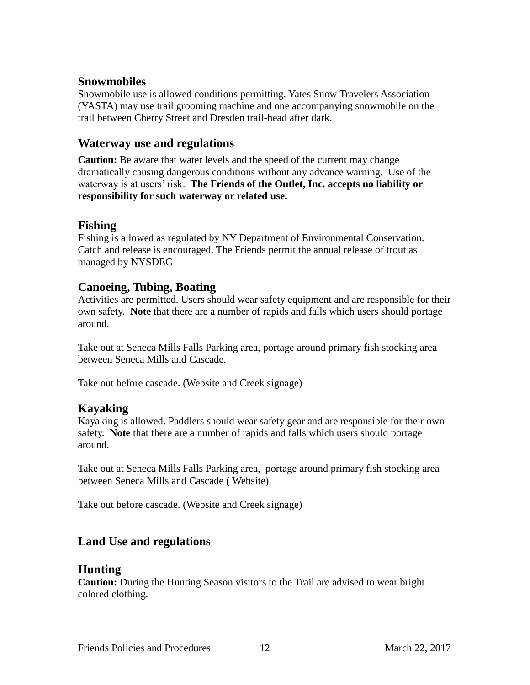## **Snowmobiles**

Snowmobile use is allowed conditions permitting. Yates Snow Travelers Association (YASTA) may use trail grooming machine and one accompanying snowmobile on the trail between Cherry Street and Dresden trail-head after dark.

## **Waterway use and regulations**

**Caution:** Be aware that water levels and the speed of the current may change dramatically causing dangerous conditions without any advance warning. Use of the waterway is at users' risk. **The Friends of the Outlet, Inc. accepts no liability or responsibility for such waterway or related use.**

## **Fishing**

Fishing is allowed as regulated by NY Department of Environmental Conservation. Catch and release is encouraged. The Friends permit the annual release of trout as managed by NYSDEC

## **Canoeing, Tubing, Boating**

Activities are permitted. Users should wear safety equipment and are responsible for their own safety. **Note** that there are a number of rapids and falls which users should portage around.

Take out at Seneca Mills Falls Parking area, portage around primary fish stocking area between Seneca Mills and Cascade.

Take out before cascade. (Website and Creek signage)

## **Kayaking**

Kayaking is allowed. Paddlers should wear safety gear and are responsible for their own safety. **Note** that there are a number of rapids and falls which users should portage around.

Take out at Seneca Mills Falls Parking area, portage around primary fish stocking area between Seneca Mills and Cascade ( Website)

Take out before cascade. (Website and Creek signage)

# **Land Use and regulations**

## **Hunting**

**Caution:** During the Hunting Season visitors to the Trail are advised to wear bright colored clothing.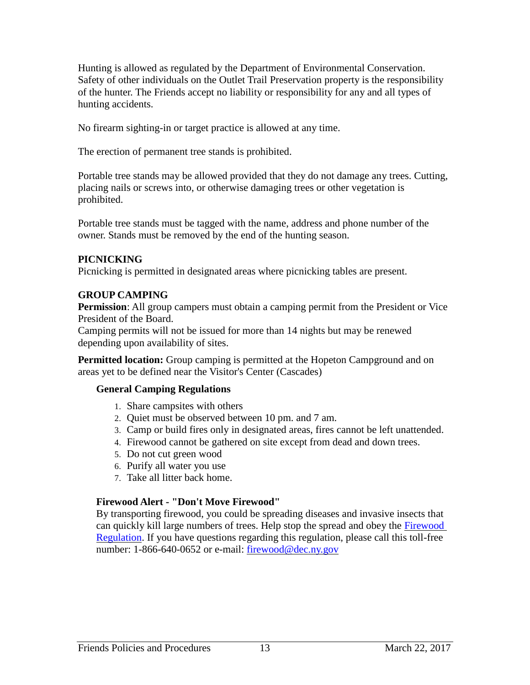Hunting is allowed as regulated by the Department of Environmental Conservation. Safety of other individuals on the Outlet Trail Preservation property is the responsibility of the hunter. The Friends accept no liability or responsibility for any and all types of hunting accidents.

No firearm sighting-in or target practice is allowed at any time.

The erection of permanent tree stands is prohibited.

Portable tree stands may be allowed provided that they do not damage any trees. Cutting, placing nails or screws into, or otherwise damaging trees or other vegetation is prohibited.

Portable tree stands must be tagged with the name, address and phone number of the owner. Stands must be removed by the end of the hunting season.

#### **PICNICKING**

Picnicking is permitted in designated areas where picnicking tables are present.

### **GROUP CAMPING**

**Permission**: All group campers must obtain a camping permit from the President or Vice President of the Board.

Camping permits will not be issued for more than 14 nights but may be renewed depending upon availability of sites.

**Permitted location:** Group camping is permitted at the Hopeton Campground and on areas yet to be defined near the Visitor's Center (Cascades)

### **General Camping Regulations**

- 1. Share campsites with others
- 2. Quiet must be observed between 10 pm. and 7 am.
- 3. Camp or build fires only in designated areas, fires cannot be left unattended.
- 4. Firewood cannot be gathered on site except from dead and down trees.
- 5. Do not cut green wood
- 6. Purify all water you use
- 7. Take all litter back home.

### **Firewood Alert - "Don't Move Firewood"**

By transporting firewood, you could be spreading diseases and invasive insects that can quickly kill large numbers of trees. Help stop the spread and obey the [Firewood](http://www.dec.ny.gov/animals/28722.html)  [Regulation.](http://www.dec.ny.gov/animals/28722.html) If you have questions regarding this regulation, please call this toll-free number: 1-866-640-0652 or e-mail: [firewood@dec.ny.gov](mailto:firewood@dec.ny.gov)